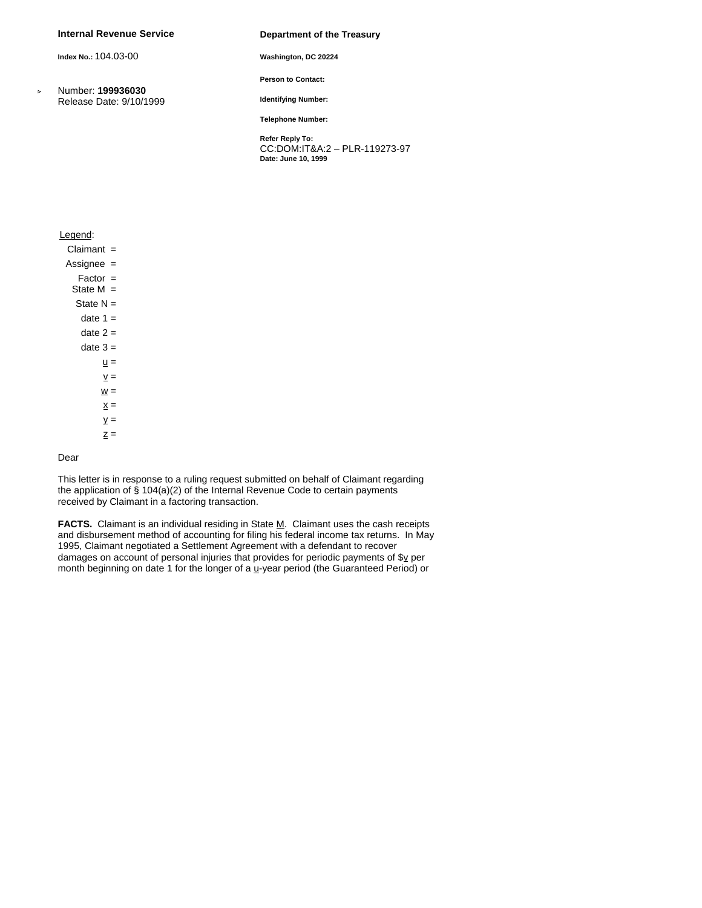## **Internal Revenue Service**

**Index No.:** 104.03-00

 Number: **199936030** Release Date: 9/10/1999

#### **Department of the Treasury**

**Washington, DC 20224**

**Person to Contact:**

**Identifying Number:**

**Telephone Number:**

**Refer Reply To:** CC:DOM:IT&A:2 – PLR-119273-97 **Date: June 10, 1999** 

## Legend:

Claimant =

- Assignee =
	- Factor =
- State M =

State  $N =$ 

date  $1 =$ 

date  $2 =$ 

date  $3 =$ 

 $\underline{u} =$  $\underline{v} =$ 

- $\underline{w} =$
- $\underline{x} =$
- $y =$
- $Z =$

# Dear

This letter is in response to a ruling request submitted on behalf of Claimant regarding the application of § 104(a)(2) of the Internal Revenue Code to certain payments received by Claimant in a factoring transaction.

FACTS. Claimant is an individual residing in State M. Claimant uses the cash receipts and disbursement method of accounting for filing his federal income tax returns. In May 1995, Claimant negotiated a Settlement Agreement with a defendant to recover damages on account of personal injuries that provides for periodic payments of  $\frac{S_V}{S}$  per month beginning on date 1 for the longer of a  $\underline{u}$ -year period (the Guaranteed Period) or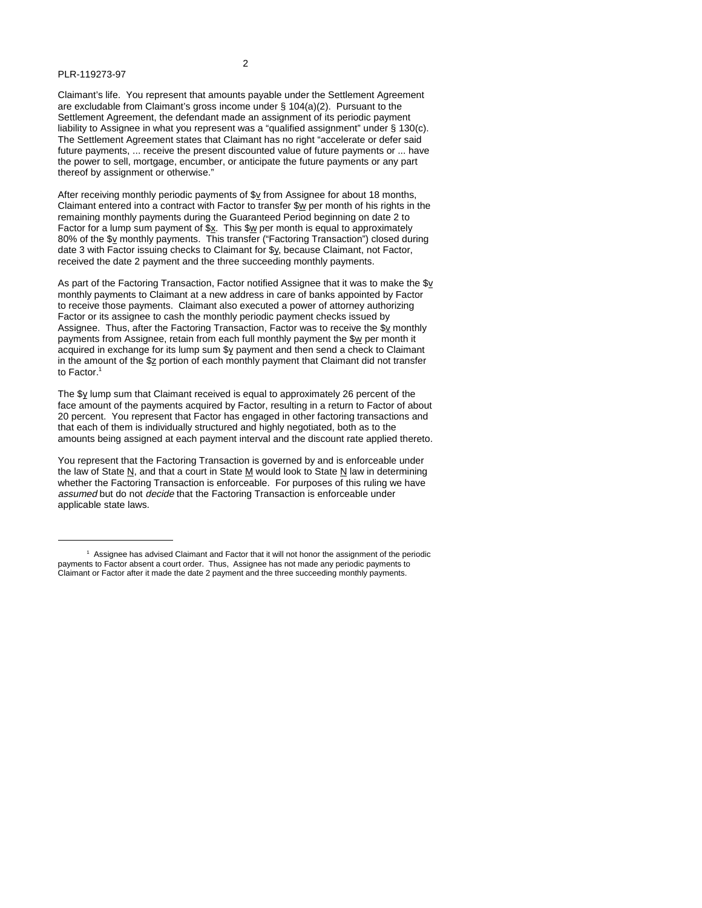2

Claimant's life. You represent that amounts payable under the Settlement Agreement are excludable from Claimant's gross income under § 104(a)(2). Pursuant to the Settlement Agreement, the defendant made an assignment of its periodic payment liability to Assignee in what you represent was a "qualified assignment" under § 130(c). The Settlement Agreement states that Claimant has no right "accelerate or defer said future payments, ... receive the present discounted value of future payments or ... have the power to sell, mortgage, encumber, or anticipate the future payments or any part thereof by assignment or otherwise."

After receiving monthly periodic payments of  $$y$  from Assignee for about 18 months, Claimant entered into a contract with Factor to transfer \$w per month of his rights in the remaining monthly payments during the Guaranteed Period beginning on date 2 to Factor for a lump sum payment of  $\frac{x}{x}$ . This  $\frac{x}{y}$  per month is equal to approximately 80% of the \$v monthly payments. This transfer ("Factoring Transaction") closed during date 3 with Factor issuing checks to Claimant for \$y, because Claimant, not Factor, received the date 2 payment and the three succeeding monthly payments.

As part of the Factoring Transaction, Factor notified Assignee that it was to make the  $s<sub>y</sub>$ monthly payments to Claimant at a new address in care of banks appointed by Factor to receive those payments. Claimant also executed a power of attorney authorizing Factor or its assignee to cash the monthly periodic payment checks issued by Assignee. Thus, after the Factoring Transaction, Factor was to receive the \$v monthly payments from Assignee, retain from each full monthly payment the \$w per month it acquired in exchange for its lump sum \$y payment and then send a check to Claimant in the amount of the \$2 portion of each monthly payment that Claimant did not transfer to Factor. 1

The \$y lump sum that Claimant received is equal to approximately 26 percent of the face amount of the payments acquired by Factor, resulting in a return to Factor of about 20 percent. You represent that Factor has engaged in other factoring transactions and that each of them is individually structured and highly negotiated, both as to the amounts being assigned at each payment interval and the discount rate applied thereto.

You represent that the Factoring Transaction is governed by and is enforceable under the law of State  $\underline{N}$ , and that a court in State  $\underline{M}$  would look to State  $\underline{N}$  law in determining whether the Factoring Transaction is enforceable. For purposes of this ruling we have <sup>a</sup>ssumed but do not decide that the Factoring Transaction is enforceable under applicable state laws.

<sup>1</sup> Assignee has advised Claimant and Factor that it will not honor the assignment of the periodic payments to Factor absent a court order. Thus, Assignee has not made any periodic payments to Claimant or Factor after it made the date 2 payment and the three succeeding monthly payments.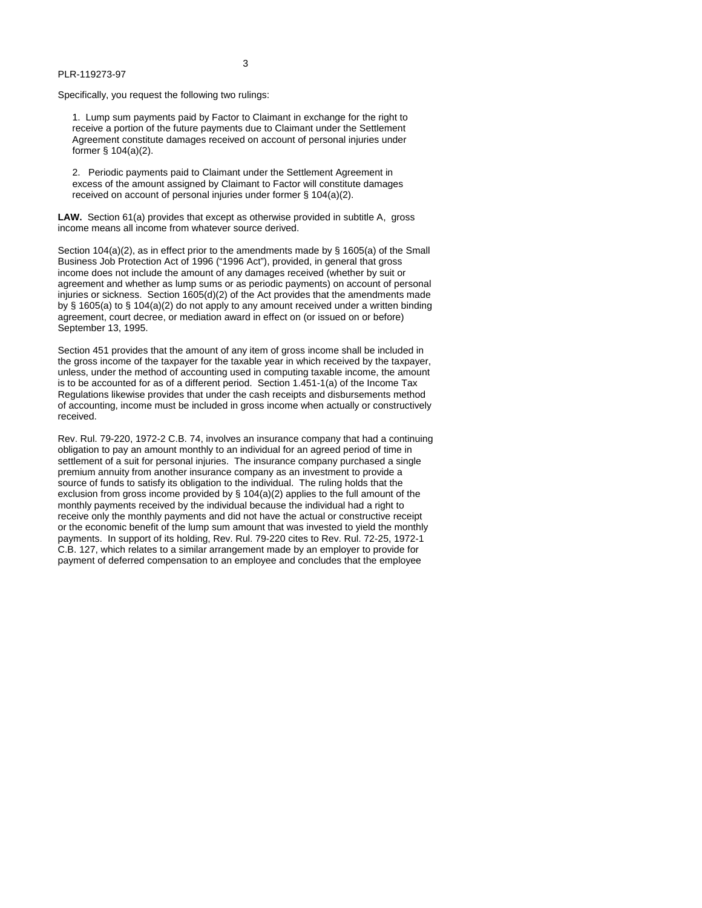Specifically, you request the following two rulings:

1. Lump sum payments paid by Factor to Claimant in exchange for the right to receive a portion of the future payments due to Claimant under the Settlement Agreement constitute damages received on account of personal injuries under former § 104(a)(2).

3

2. Periodic payments paid to Claimant under the Settlement Agreement in excess of the amount assigned by Claimant to Factor will constitute damages received on account of personal injuries under former § 104(a)(2).

**LAW.** Section 61(a) provides that except as otherwise provided in subtitle A, gross income means all income from whatever source derived.

Section  $104(a)(2)$ , as in effect prior to the amendments made by § 1605(a) of the Small Business Job Protection Act of 1996 ("1996 Act"), provided, in general that gross income does not include the amount of any damages received (whether by suit or agreement and whether as lump sums or as periodic payments) on account of personal injuries or sickness. Section 1605(d)(2) of the Act provides that the amendments made by § 1605(a) to § 104(a)(2) do not apply to any amount received under a written binding agreement, court decree, or mediation award in effect on (or issued on or before) September 13, 1995.

Section 451 provides that the amount of any item of gross income shall be included in the gross income of the taxpayer for the taxable year in which received by the taxpayer, unless, under the method of accounting used in computing taxable income, the amount is to be accounted for as of a different period. Section 1.451-1(a) of the Income Tax Regulations likewise provides that under the cash receipts and disbursements method of accounting, income must be included in gross income when actually or constructively received.

Rev. Rul. 79-220, 1972-2 C.B. 74, involves an insurance company that had a continuing obligation to pay an amount monthly to an individual for an agreed period of time in settlement of a suit for personal injuries. The insurance company purchased a single premium annuity from another insurance company as an investment to provide a source of funds to satisfy its obligation to the individual. The ruling holds that the exclusion from gross income provided by § 104(a)(2) applies to the full amount of the monthly payments received by the individual because the individual had a right to receive only the monthly payments and did not have the actual or constructive receipt or the economic benefit of the lump sum amount that was invested to yield the monthly payments. In support of its holding, Rev. Rul. 79-220 cites to Rev. Rul. 72-25, 1972-1 C.B. 127, which relates to a similar arrangement made by an employer to provide for payment of deferred compensation to an employee and concludes that the employee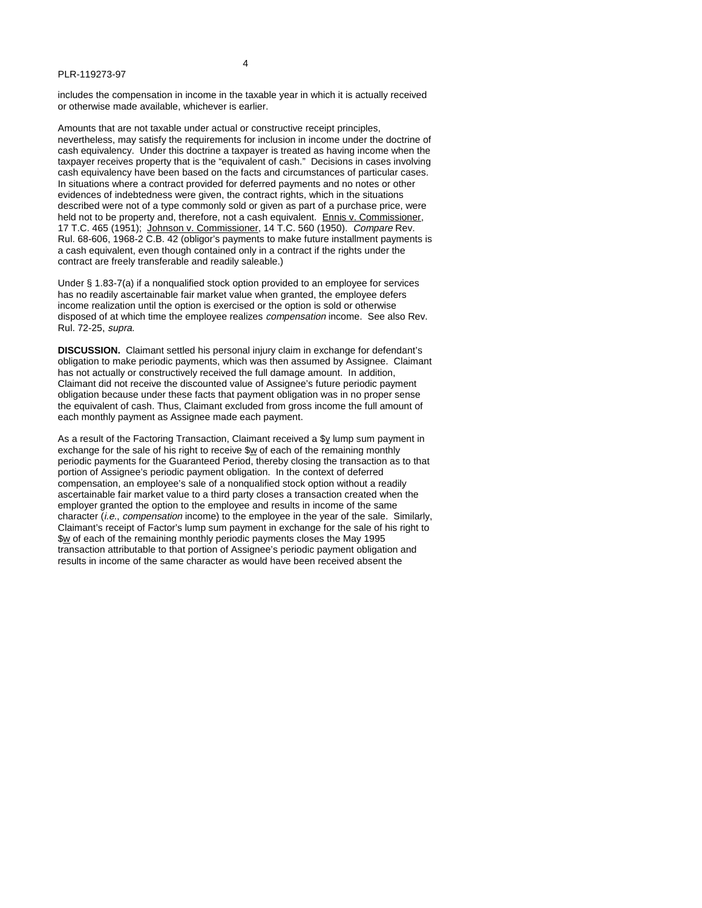includes the compensation in income in the taxable year in which it is actually received or otherwise made available, whichever is earlier.

Amounts that are not taxable under actual or constructive receipt principles, nevertheless, may satisfy the requirements for inclusion in income under the doctrine of cash equivalency. Under this doctrine a taxpayer is treated as having income when the taxpayer receives property that is the "equivalent of cash." Decisions in cases involving cash equivalency have been based on the facts and circumstances of particular cases. In situations where a contract provided for deferred payments and no notes or other evidences of indebtedness were given, the contract rights, which in the situations described were not of a type commonly sold or given as part of a purchase price, were held not to be property and, therefore, not a cash equivalent. Ennis v. Commissioner, 17 T.C. 465 (1951); Johnson v. Commissioner, 14 T.C. 560 (1950). Compare Rev. Rul. 68-606, 1968-2 C.B. 42 (obligor's payments to make future installment payments is a cash equivalent, even though contained only in a contract if the rights under the contract are freely transferable and readily saleable.)

Under § 1.83-7(a) if a nonqualified stock option provided to an employee for services has no readily ascertainable fair market value when granted, the employee defers income realization until the option is exercised or the option is sold or otherwise disposed of at which time the employee realizes <sup>c</sup>ompensation income. See also Rev. Rul. 72-25, supra.

**DISCUSSION.** Claimant settled his personal injury claim in exchange for defendant's obligation to make periodic payments, which was then assumed by Assignee. Claimant has not actually or constructively received the full damage amount. In addition, Claimant did not receive the discounted value of Assignee's future periodic payment obligation because under these facts that payment obligation was in no proper sense the equivalent of cash. Thus, Claimant excluded from gross income the full amount of each monthly payment as Assignee made each payment.

As a result of the Factoring Transaction, Claimant received a \$y lump sum payment in exchange for the sale of his right to receive \$w of each of the remaining monthly periodic payments for the Guaranteed Period, thereby closing the transaction as to that portion of Assignee's periodic payment obligation. In the context of deferred compensation, an employee's sale of a nonqualified stock option without a readily ascertainable fair market value to a third party closes a transaction created when the employer granted the option to the employee and results in income of the same character (i.e., compensation income) to the employee in the year of the sale. Similarly, Claimant's receipt of Factor's lump sum payment in exchange for the sale of his right to \$w of each of the remaining monthly periodic payments closes the May 1995 transaction attributable to that portion of Assignee's periodic payment obligation and results in income of the same character as would have been received absent the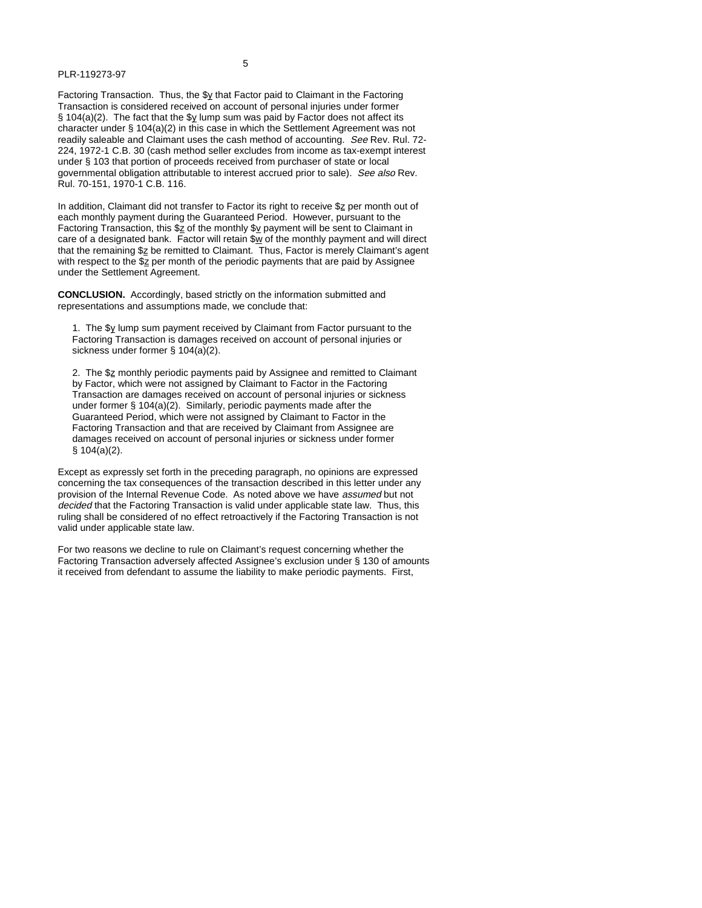5

Factoring Transaction. Thus, the \$y that Factor paid to Claimant in the Factoring Transaction is considered received on account of personal injuries under former § 104(a)(2). The fact that the  $\frac{6}{2}$  lump sum was paid by Factor does not affect its character under § 104(a)(2) in this case in which the Settlement Agreement was not readily saleable and Claimant uses the cash method of accounting. See Rev. Rul. 72- 224, 1972-1 C.B. 30 (cash method seller excludes from income as tax-exempt interest under § 103 that portion of proceeds received from purchaser of state or local governmental obligation attributable to interest accrued prior to sale). See als<sup>o</sup> Rev. Rul. 70-151, 1970-1 C.B. 116.

In addition, Claimant did not transfer to Factor its right to receive  $\Sigma$  per month out of each monthly payment during the Guaranteed Period. However, pursuant to the Factoring Transaction, this  $\frac{2}{2}$  of the monthly  $\frac{2}{3}$  payment will be sent to Claimant in care of a designated bank. Factor will retain  $\frac{\partial w}{\partial x}$  of the monthly payment and will direct that the remaining \$z be remitted to Claimant. Thus, Factor is merely Claimant's agent with respect to the  $\Sigma$  per month of the periodic payments that are paid by Assignee under the Settlement Agreement.

**CONCLUSION.** Accordingly, based strictly on the information submitted and representations and assumptions made, we conclude that:

1. The \$y lump sum payment received by Claimant from Factor pursuant to the Factoring Transaction is damages received on account of personal injuries or sickness under former § 104(a)(2).

2. The \$z monthly periodic payments paid by Assignee and remitted to Claimant by Factor, which were not assigned by Claimant to Factor in the Factoring Transaction are damages received on account of personal injuries or sickness under former § 104(a)(2). Similarly, periodic payments made after the Guaranteed Period, which were not assigned by Claimant to Factor in the Factoring Transaction and that are received by Claimant from Assignee are damages received on account of personal injuries or sickness under former § 104(a)(2).

Except as expressly set forth in the preceding paragraph, no opinions are expressed concerning the tax consequences of the transaction described in this letter under any provision of the Internal Revenue Code. As noted above we have assumed but not decided that the Factoring Transaction is valid under applicable state law. Thus, this ruling shall be considered of no effect retroactively if the Factoring Transaction is not valid under applicable state law.

For two reasons we decline to rule on Claimant's request concerning whether the Factoring Transaction adversely affected Assignee's exclusion under § 130 of amounts it received from defendant to assume the liability to make periodic payments. First,